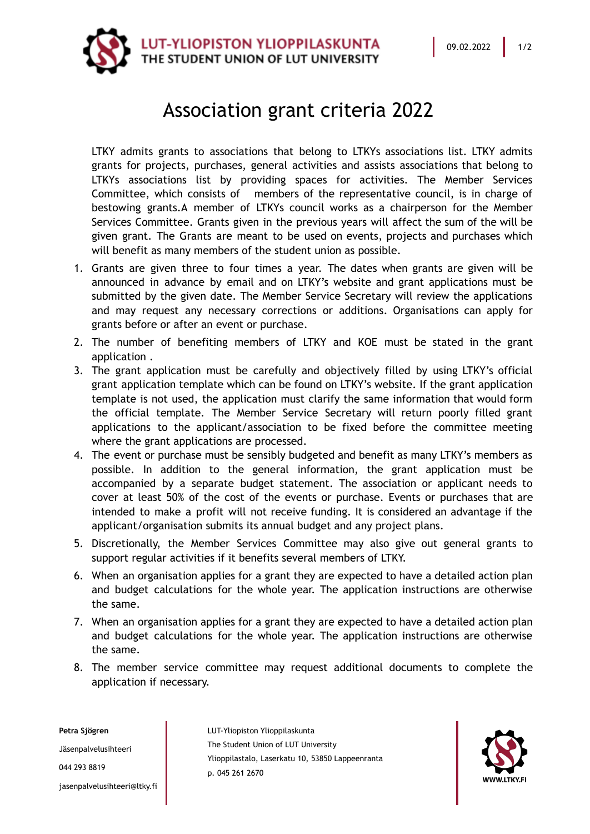

## Association grant criteria 2022

LTKY admits grants to associations that belong to LTKYs associations list. LTKY admits grants for projects, purchases, general activities and assists associations that belong to LTKYs associations list by providing spaces for activities. The Member Services Committee, which consists of members of the representative council, is in charge of bestowing grants.A member of LTKYs council works as a chairperson for the Member Services Committee. Grants given in the previous years will affect the sum of the will be given grant. The Grants are meant to be used on events, projects and purchases which will benefit as many members of the student union as possible.

- 1. Grants are given three to four times a year. The dates when grants are given will be announced in advance by email and on LTKY's website and grant applications must be submitted by the given date. The Member Service Secretary will review the applications and may request any necessary corrections or additions. Organisations can apply for grants before or after an event or purchase.
- 2. The number of benefiting members of LTKY and KOE must be stated in the grant application .
- 3. The grant application must be carefully and objectively filled by using LTKY's official grant application template which can be found on LTKY's website. If the grant application template is not used, the application must clarify the same information that would form the official template. The Member Service Secretary will return poorly filled grant applications to the applicant/association to be fixed before the committee meeting where the grant applications are processed.
- 4. The event or purchase must be sensibly budgeted and benefit as many LTKY's members as possible. In addition to the general information, the grant application must be accompanied by a separate budget statement. The association or applicant needs to cover at least 50% of the cost of the events or purchase. Events or purchases that are intended to make a profit will not receive funding. It is considered an advantage if the applicant/organisation submits its annual budget and any project plans.
- 5. Discretionally, the Member Services Committee may also give out general grants to support regular activities if it benefits several members of LTKY.
- 6. When an organisation applies for a grant they are expected to have a detailed action plan and budget calculations for the whole year. The application instructions are otherwise the same.
- 7. When an organisation applies for a grant they are expected to have a detailed action plan and budget calculations for the whole year. The application instructions are otherwise the same.
- 8. The member service committee may request additional documents to complete the application if necessary.

**Petra Sjögren** Jäsenpalvelusihteeri 044 293 8819 jasenpalvelusihteeri@ltky.fi LUT-Yliopiston Ylioppilaskunta The Student Union of LUT University Ylioppilastalo, Laserkatu 10, 53850 Lappeenranta p. 045 261 2670